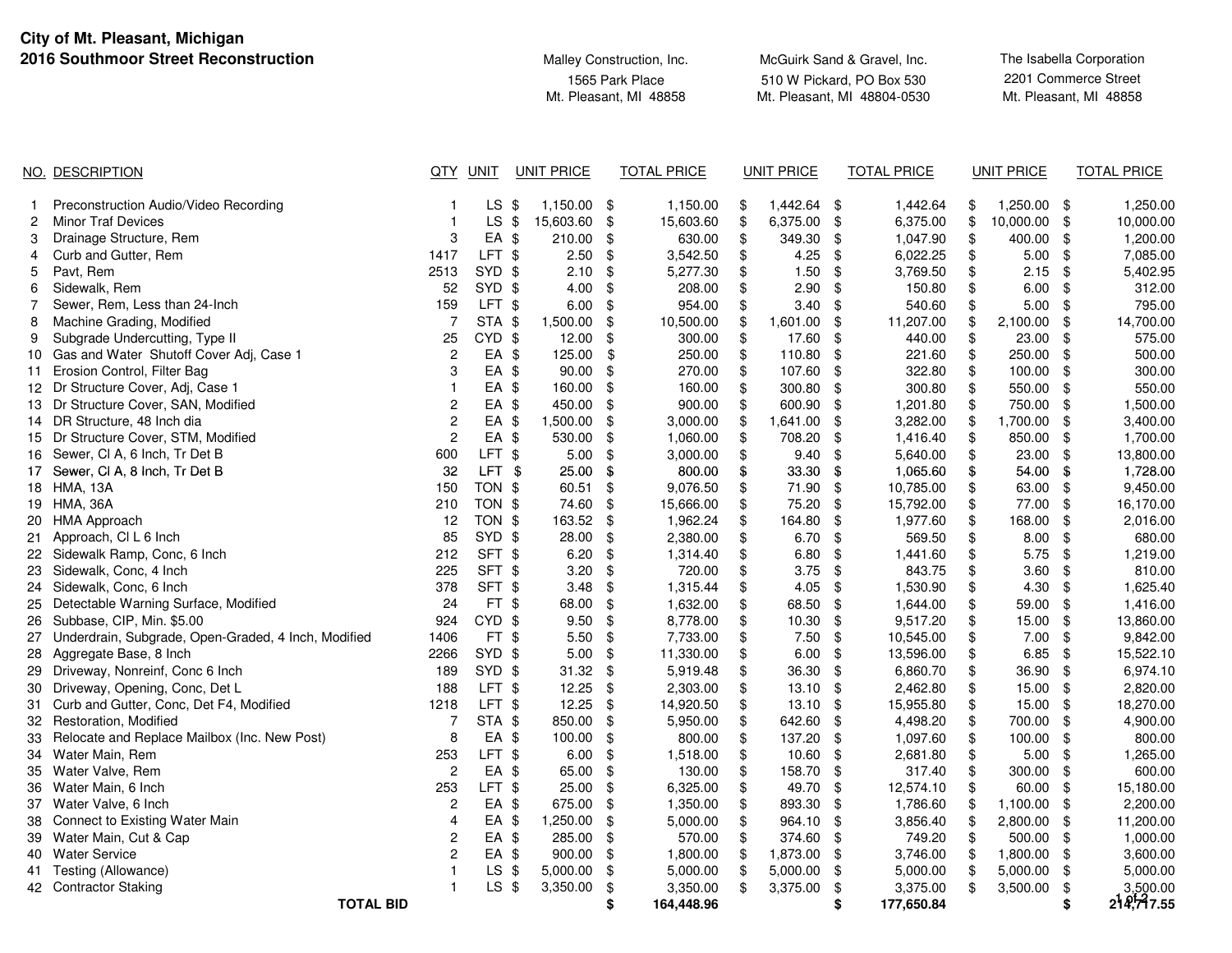**City of Mt. Pleasant, Michigan2016 Southmoor S** 

| <b>Street Reconstruction</b> | Malley Construction, Inc.                 | McGuirk Sand & Gravel, Inc.                              |                                                |  |  |
|------------------------------|-------------------------------------------|----------------------------------------------------------|------------------------------------------------|--|--|
|                              | 1565 Park Place<br>Mt. Pleasant, MI 48858 | 510 W Pickard, PO Box 530<br>Mt. Pleasant, MI 48804-0530 | 2201 Commerce Street<br>Mt. Pleasant, MI 48858 |  |  |
|                              |                                           |                                                          |                                                |  |  |

|    | NO. DESCRIPTION                                     | QTY                     | <b>UNIT</b>      | <b>UNIT PRICE</b>         |               | <b>TOTAL PRICE</b> |               | <b>UNIT PRICE</b> |               | <b>TOTAL PRICE</b> | <b>UNIT PRICE</b> |                | <b>TOTAL PRICE</b>     |
|----|-----------------------------------------------------|-------------------------|------------------|---------------------------|---------------|--------------------|---------------|-------------------|---------------|--------------------|-------------------|----------------|------------------------|
|    | Preconstruction Audio/Video Recording               |                         | LS.              | -\$<br>1,150.00           | -\$           | 1,150.00           | \$            | 1,442.64 \$       |               | 1,442.64           | \$<br>1,250.00    | - \$           | 1,250.00               |
| 2  | <b>Minor Traf Devices</b>                           | -1                      | $LS$ \$          | 15,603.60                 | \$            | 15,603.60          | \$            | 6,375.00          | - \$          | 6,375.00           | \$<br>10,000.00   | - \$           | 10,000.00              |
| 3  | Drainage Structure, Rem                             | 3                       | EA \$            | 210.00                    | \$            | 630.00             | \$            | 349.30            | \$            | 1,047.90           | \$<br>400.00      | \$             | 1,200.00               |
| 4  | Curb and Gutter, Rem                                | 1417                    | LFT \$           | 2.50                      | \$            | 3,542.50           | \$            | 4.25              | \$            | 6,022.25           | \$<br>5.00        | -\$            | 7,085.00               |
| 5  | Pavt, Rem                                           | 2513                    | SYD              | $\sqrt[6]{2}$<br>2.10     | $\frac{1}{2}$ | 5,277.30           | \$            | 1.50              | $\frac{1}{2}$ | 3,769.50           | \$<br>2.15        | \$             | 5,402.95               |
| 6  | Sidewalk, Rem                                       | 52                      | SYD \$           | 4.00                      | \$            | 208.00             | \$            | 2.90              | \$            | 150.80             | \$<br>6.00        | -\$            | 312.00                 |
| 7  | Sewer, Rem, Less than 24-Inch                       | 159                     | LFT \$           | 6.00                      | \$            | 954.00             | \$            | $3.40$ \$         |               | 540.60             | \$<br>5.00        | - \$           | 795.00                 |
| 8  | Machine Grading, Modified                           | $\overline{7}$          | STA \$           | 1,500.00                  | \$            | 10,500.00          | \$            | 1,601.00          | \$            | 11,207.00          | \$<br>2,100.00    | \$             | 14,700.00              |
| 9  | Subgrade Undercutting, Type II                      | 25                      | CYD \$           | 12.00                     | \$            | 300.00             | \$            | 17.60             | \$            | 440.00             | \$<br>23.00       | \$             | 575.00                 |
| 10 | Gas and Water Shutoff Cover Adj, Case 1             | $\boldsymbol{2}$        | EA \$            | 125.00                    | \$            | 250.00             | \$            | 110.80            | \$            | 221.60             | \$<br>250.00      | -\$            | 500.00                 |
| 11 | Erosion Control, Filter Bag                         | 3                       | EA \$            | 90.00                     | \$            | 270.00             | \$            | 107.60            | -\$           | 322.80             | \$<br>100.00      | \$             | 300.00                 |
|    | 12 Dr Structure Cover, Adj, Case 1                  | $\mathbf{1}$            | EA \$            | 160.00                    | \$            | 160.00             | \$            | 300.80 \$         |               | 300.80             | \$<br>550.00 \$   |                | 550.00                 |
|    | 13 Dr Structure Cover, SAN, Modified                | $\overline{c}$          | EA \$            | 450.00                    | \$            | 900.00             | \$            | 600.90            | -\$           | 1,201.80           | \$<br>750.00 \$   |                | 1,500.00               |
|    | 14 DR Structure, 48 Inch dia                        | $\overline{\mathbf{c}}$ | EA \$            | 1,500.00                  | $\frac{1}{2}$ | 3,000.00           | $\frac{1}{2}$ | 1,641.00          | \$            | 3,282.00           | \$<br>1,700.00    | \$             | 3,400.00               |
|    | 15 Dr Structure Cover, STM, Modified                | $\overline{c}$          | EA \$            | 530.00                    | \$            | 1,060.00           | \$            | 708.20            | \$            | 1,416.40           | \$<br>850.00      | -\$            | 1,700.00               |
|    | 16 Sewer, CI A, 6 Inch, Tr Det B                    | 600                     | LFT \$           | 5.00                      | \$            | 3,000.00           | \$            | $9.40$ \$         |               | 5,640.00           | \$<br>23.00       | $\mathfrak{s}$ | 13,800.00              |
|    | 17 Sewer, CI A, 8 Inch, Tr Det B                    | 32                      | LFT \$           | 25.00                     | \$            | 800.00             | \$            | 33.30 \$          |               | 1,065.60           | \$<br>54.00       | - \$           | 1,728.00               |
|    | 18 HMA, 13A                                         | 150                     | TON \$           | 60.51                     | \$            | 9,076.50           | \$            | 71.90 \$          |               | 10,785.00          | \$<br>63.00       | - \$           | 9,450.00               |
|    | 19 HMA, 36A                                         | 210                     | TON \$           | 74.60                     | $\frac{1}{2}$ | 15,666.00          | \$            | 75.20 \$          |               | 15,792.00          | \$<br>77.00       | - \$           | 16,170.00              |
| 20 | <b>HMA Approach</b>                                 | 12                      | TON \$           | 163.52                    | \$            | 1,962.24           | \$            | 164.80            | \$            | 1,977.60           | \$<br>168.00      | \$             | 2,016.00               |
| 21 | Approach, CI L 6 Inch                               | 85                      | SYD \$           | 28.00                     | \$            | 2,380.00           | \$            | $6.70$ \$         |               | 569.50             | \$<br>8.00        | - \$           | 680.00                 |
|    | 22 Sidewalk Ramp, Conc, 6 Inch                      | 212                     | SFT \$           | 6.20                      | \$            | 1,314.40           | \$            | $6.80$ \$         |               | 1,441.60           | \$<br>5.75        | - \$           | 1,219.00               |
|    | 23 Sidewalk, Conc, 4 Inch                           | 225                     | SFT \$           | 3.20                      | \$            | 720.00             | \$            | 3.75              | - \$          | 843.75             | \$<br>3.60        | \$             | 810.00                 |
|    | 24 Sidewalk, Conc, 6 Inch                           | 378                     | SFT \$           | 3.48                      | \$            | 1,315.44           | \$            | 4.05              | -\$           | 1,530.90           | \$<br>4.30        | \$             | 1,625.40               |
|    | 25 Detectable Warning Surface, Modified             | 24                      | FT \$            | 68.00                     | $\frac{1}{2}$ | 1,632.00           | \$            | 68.50             | \$            | 1,644.00           | \$<br>59.00       | \$             | 1,416.00               |
|    | 26 Subbase, CIP, Min. \$5.00                        | 924                     | CYD \$           | 9.50                      | $\frac{1}{2}$ | 8,778.00           | \$            | $10.30$ \$        |               | 9,517.20           | \$<br>15.00       | - \$           | 13,860.00              |
| 27 | Underdrain, Subgrade, Open-Graded, 4 Inch, Modified | 1406                    | FT <sub>\$</sub> | 5.50                      | \$            | 7,733.00           | \$            | $7.50$ \$         |               | 10,545.00          | \$<br>7.00        | - \$           | 9,842.00               |
|    | 28 Aggregate Base, 8 Inch                           | 2266                    | SYD \$           | 5.00                      | \$            | 11,330.00          | \$            | $6.00$ \$         |               | 13,596.00          | \$<br>6.85        | - \$           | 15,522.10              |
|    | 29 Driveway, Nonreinf, Conc 6 Inch                  | 189                     | SYD \$           | 31.32                     | \$            | 5,919.48           | \$            | 36.30 \$          |               | 6,860.70           | \$<br>36.90       | - \$           | 6,974.10               |
| 30 | Driveway, Opening, Conc, Det L                      | 188                     | LFT \$           | 12.25                     | $\frac{1}{2}$ | 2,303.00           | \$            | $13.10$ \$        |               | 2,462.80           | \$<br>15.00       | - \$           | 2,820.00               |
| 31 | Curb and Gutter, Conc, Det F4, Modified             | 1218                    | LFT \$           | 12.25                     | $\frac{1}{2}$ | 14,920.50          | $\$\$         | 13.10             | \$            | 15,955.80          | \$<br>15.00       | \$             | 18,270.00              |
|    | 32 Restoration, Modified                            | 7                       | STA \$           | 850.00                    | \$            | 5,950.00           | \$            | 642.60 \$         |               | 4,498.20           | \$<br>700.00      | -\$            | 4,900.00               |
| 33 | Relocate and Replace Mailbox (Inc. New Post)        | 8                       | EA \$            | 100.00                    | \$            | 800.00             | \$            | 137.20 \$         |               | 1,097.60           | \$<br>100.00 \$   |                | 800.00                 |
|    | 34 Water Main, Rem                                  | 253                     | LFT \$           | 6.00                      | \$            | 1,518.00           | \$            | $10.60$ \$        |               | 2,681.80           | \$<br>5.00        | - \$           | 1,265.00               |
| 35 | Water Valve, Rem                                    | $\overline{c}$          | EA \$            | 65.00                     | \$            | 130.00             | \$            | 158.70            | -\$           | 317.40             | \$<br>300.00      | -\$            | 600.00                 |
| 36 | Water Main, 6 Inch                                  | 253                     | LFT \$           | 25.00                     | \$            | 6,325.00           | \$            | 49.70 \$          |               | 12,574.10          | \$<br>60.00       | - \$           | 15,180.00              |
| 37 | Water Valve, 6 Inch                                 | $\overline{c}$          | EA \$            | 675.00                    | \$            | 1,350.00           | \$            | 893.30            | \$            | 1,786.60           | \$<br>1,100.00    | -\$            | 2,200.00               |
|    | 38 Connect to Existing Water Main                   | 4                       | EA \$            | 1,250.00                  | \$            | 5,000.00           | \$            | 964.10            | \$            | 3,856.40           | \$<br>2,800.00    | -\$            | 11,200.00              |
| 39 | Water Main, Cut & Cap                               | $\overline{\mathbf{c}}$ | EA \$            | 285.00                    | \$            | 570.00             | \$            | 374.60            | \$            | 749.20             | \$<br>500.00      | - \$           | 1,000.00               |
|    | 40 Water Service                                    | $\overline{c}$          | EA \$            | 900.00                    | \$            | 1,800.00           | \$            | 1,873.00 \$       |               | 3,746.00           | \$<br>1,800.00    | - \$           | 3,600.00               |
| 41 | Testing (Allowance)                                 | $\mathbf{1}$            | <b>LS</b>        | \$<br>5,000.00            | \$            | 5,000.00           | $\frac{1}{2}$ | 5,000.00          | \$            | 5,000.00           | \$<br>5,000.00    | \$             | 5,000.00               |
|    | 42 Contractor Staking                               |                         | LS.              | $\sqrt[6]{2}$<br>3,350.00 | \$            | 3,350.00           | \$            | 3,375.00          | \$            | 3,375.00           | \$<br>3,500.00    | \$             | 3,500.00<br>214,747.55 |
|    | <b>TOTAL BID</b>                                    |                         |                  |                           | \$            | 164,448.96         |               |                   | \$            | 177,650.84         |                   | \$             |                        |